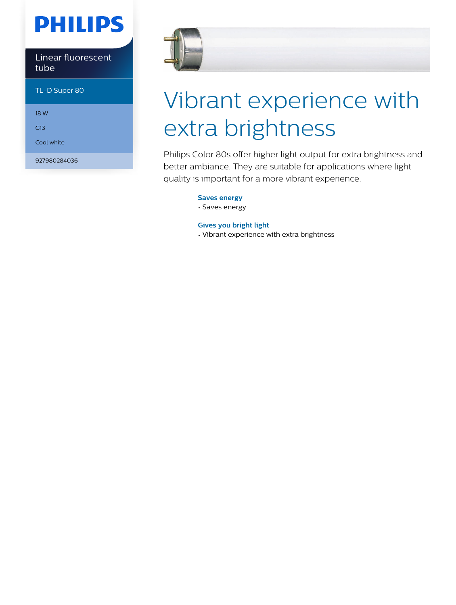## **PHILIPS**

Linear fluorescent tube

TL-D Super 80

18 W

G13

Cool white

927980284036



# Vibrant experience with extra brightness

Philips Color 80s offer higher light output for extra brightness and better ambiance. They are suitable for applications where light quality is important for a more vibrant experience.

**Saves energy**

• Saves energy

**Gives you bright light**

• Vibrant experience with extra brightness